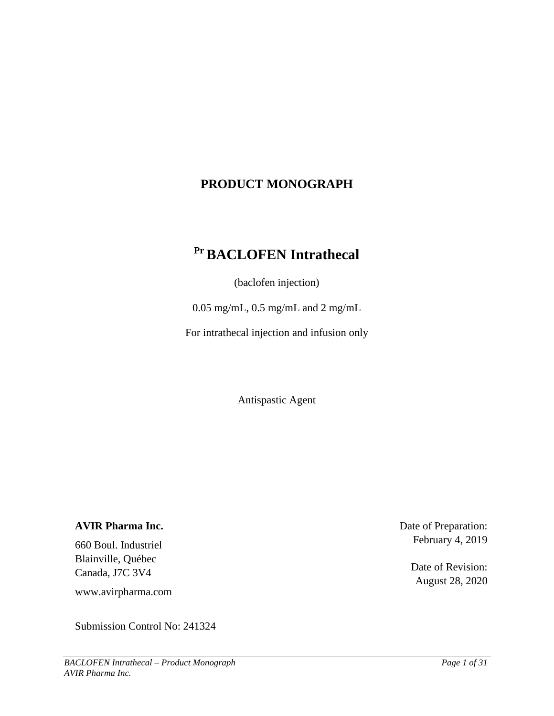# **PRODUCT MONOGRAPH**

# **PrBACLOFEN Intrathecal**

(baclofen injection)

0.05 mg/mL, 0.5 mg/mL and 2 mg/mL

For intrathecal injection and infusion only

Antispastic Agent

### **AVIR Pharma Inc.**

660 Boul. Industriel Blainville, Québec Canada, J7C 3V4

www.avirpharma.com

<span id="page-0-0"></span>Submission Control No: 241324

Date of Preparation: February 4, 2019

> Date of Revision: August 28, 2020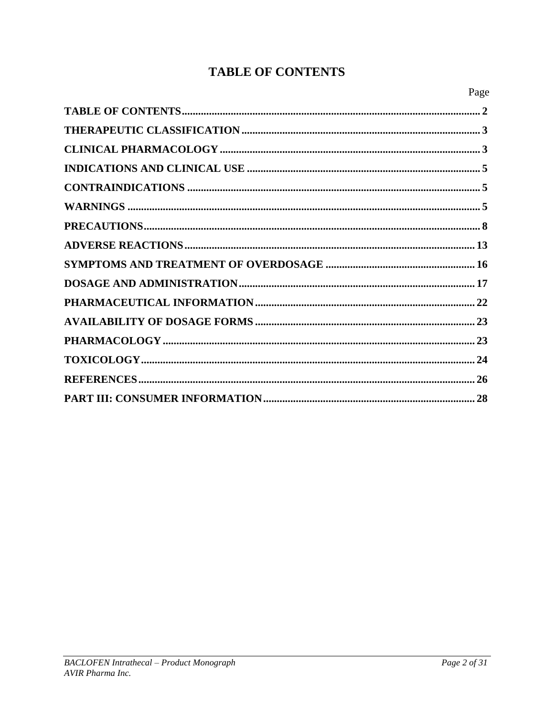# **TABLE OF CONTENTS**

| Page |
|------|
|      |
|      |
|      |
|      |
|      |
|      |
|      |
|      |
|      |
|      |
|      |
|      |
|      |
|      |
|      |
|      |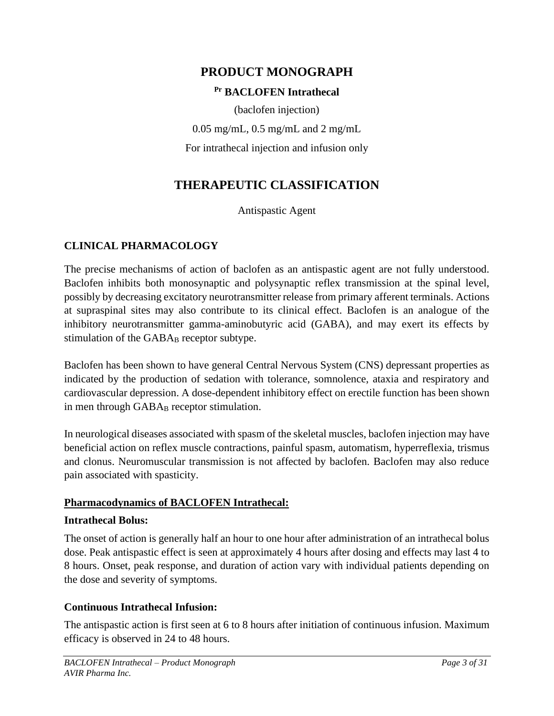# **PRODUCT MONOGRAPH**

# **Pr BACLOFEN Intrathecal**

(baclofen injection) 0.05 mg/mL, 0.5 mg/mL and 2 mg/mL For intrathecal injection and infusion only

# **THERAPEUTIC CLASSIFICATION**

Antispastic Agent

# <span id="page-2-1"></span><span id="page-2-0"></span>**CLINICAL PHARMACOLOGY**

The precise mechanisms of action of baclofen as an antispastic agent are not fully understood. Baclofen inhibits both monosynaptic and polysynaptic reflex transmission at the spinal level, possibly by decreasing excitatory neurotransmitter release from primary afferent terminals. Actions at supraspinal sites may also contribute to its clinical effect. Baclofen is an analogue of the inhibitory neurotransmitter gamma-aminobutyric acid (GABA), and may exert its effects by stimulation of the GABA<sub>B</sub> receptor subtype.

Baclofen has been shown to have general Central Nervous System (CNS) depressant properties as indicated by the production of sedation with tolerance, somnolence, ataxia and respiratory and cardiovascular depression. A dose-dependent inhibitory effect on erectile function has been shown in men through GABA<sub>B</sub> receptor stimulation.

In neurological diseases associated with spasm of the skeletal muscles, baclofen injection may have beneficial action on reflex muscle contractions, painful spasm, automatism, hyperreflexia, trismus and clonus. Neuromuscular transmission is not affected by baclofen. Baclofen may also reduce pain associated with spasticity.

# **Pharmacodynamics of BACLOFEN Intrathecal:**

## **Intrathecal Bolus:**

The onset of action is generally half an hour to one hour after administration of an intrathecal bolus dose. Peak antispastic effect is seen at approximately 4 hours after dosing and effects may last 4 to 8 hours. Onset, peak response, and duration of action vary with individual patients depending on the dose and severity of symptoms.

## **Continuous Intrathecal Infusion:**

The antispastic action is first seen at 6 to 8 hours after initiation of continuous infusion. Maximum efficacy is observed in 24 to 48 hours.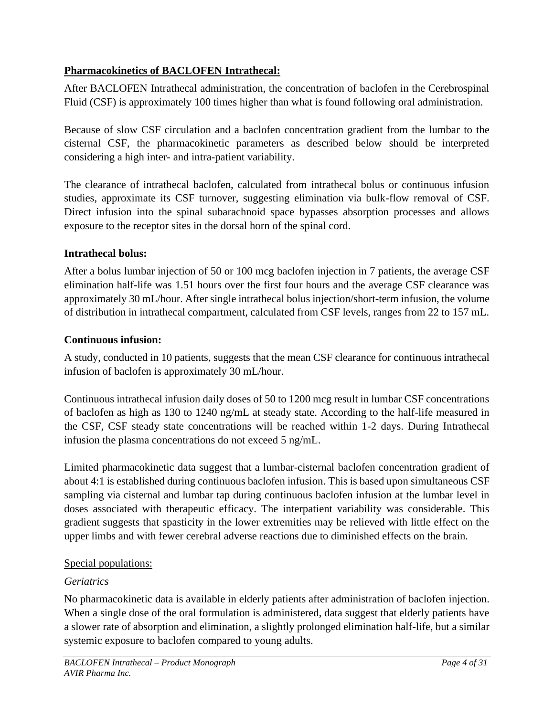# **Pharmacokinetics of BACLOFEN Intrathecal:**

After BACLOFEN Intrathecal administration, the concentration of baclofen in the Cerebrospinal Fluid (CSF) is approximately 100 times higher than what is found following oral administration.

Because of slow CSF circulation and a baclofen concentration gradient from the lumbar to the cisternal CSF, the pharmacokinetic parameters as described below should be interpreted considering a high inter- and intra-patient variability.

The clearance of intrathecal baclofen, calculated from intrathecal bolus or continuous infusion studies, approximate its CSF turnover, suggesting elimination via bulk-flow removal of CSF. Direct infusion into the spinal subarachnoid space bypasses absorption processes and allows exposure to the receptor sites in the dorsal horn of the spinal cord.

# **Intrathecal bolus:**

After a bolus lumbar injection of 50 or 100 mcg baclofen injection in 7 patients, the average CSF elimination half-life was 1.51 hours over the first four hours and the average CSF clearance was approximately 30 mL/hour. After single intrathecal bolus injection/short-term infusion, the volume of distribution in intrathecal compartment, calculated from CSF levels, ranges from 22 to 157 mL.

# **Continuous infusion:**

A study, conducted in 10 patients, suggests that the mean CSF clearance for continuous intrathecal infusion of baclofen is approximately 30 mL/hour.

Continuous intrathecal infusion daily doses of 50 to 1200 mcg result in lumbar CSF concentrations of baclofen as high as 130 to 1240 ng/mL at steady state. According to the half-life measured in the CSF, CSF steady state concentrations will be reached within 1-2 days. During Intrathecal infusion the plasma concentrations do not exceed 5 ng/mL.

Limited pharmacokinetic data suggest that a lumbar-cisternal baclofen concentration gradient of about 4:1 is established during continuous baclofen infusion. This is based upon simultaneous CSF sampling via cisternal and lumbar tap during continuous baclofen infusion at the lumbar level in doses associated with therapeutic efficacy. The interpatient variability was considerable. This gradient suggests that spasticity in the lower extremities may be relieved with little effect on the upper limbs and with fewer cerebral adverse reactions due to diminished effects on the brain.

# Special populations:

# *Geriatrics*

No pharmacokinetic data is available in elderly patients after administration of baclofen injection. When a single dose of the oral formulation is administered, data suggest that elderly patients have a slower rate of absorption and elimination, a slightly prolonged elimination half-life, but a similar systemic exposure to baclofen compared to young adults.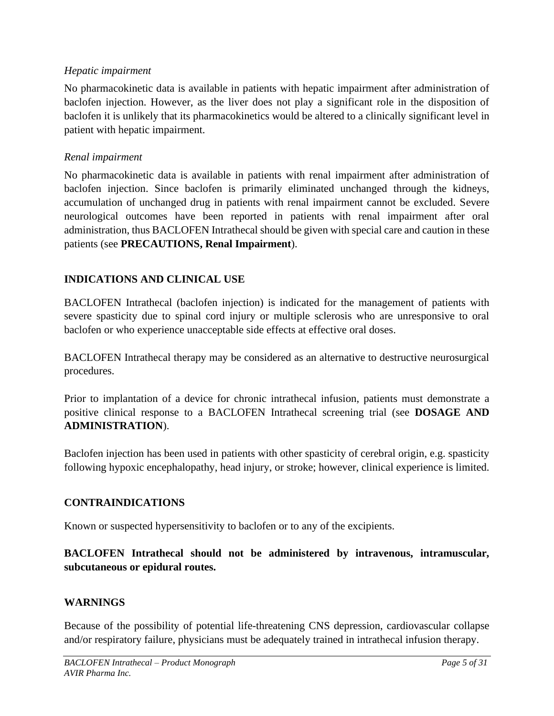# *Hepatic impairment*

No pharmacokinetic data is available in patients with hepatic impairment after administration of baclofen injection. However, as the liver does not play a significant role in the disposition of baclofen it is unlikely that its pharmacokinetics would be altered to a clinically significant level in patient with hepatic impairment.

# *Renal impairment*

No pharmacokinetic data is available in patients with renal impairment after administration of baclofen injection. Since baclofen is primarily eliminated unchanged through the kidneys, accumulation of unchanged drug in patients with renal impairment cannot be excluded. Severe neurological outcomes have been reported in patients with renal impairment after oral administration, thus BACLOFEN Intrathecal should be given with special care and caution in these patients (see **PRECAUTIONS, Renal Impairment**).

# <span id="page-4-0"></span>**INDICATIONS AND CLINICAL USE**

BACLOFEN Intrathecal (baclofen injection) is indicated for the management of patients with severe spasticity due to spinal cord injury or multiple sclerosis who are unresponsive to oral baclofen or who experience unacceptable side effects at effective oral doses.

BACLOFEN Intrathecal therapy may be considered as an alternative to destructive neurosurgical procedures.

Prior to implantation of a device for chronic intrathecal infusion, patients must demonstrate a positive clinical response to a BACLOFEN Intrathecal screening trial (see **DOSAGE AND ADMINISTRATION**).

Baclofen injection has been used in patients with other spasticity of cerebral origin, e.g. spasticity following hypoxic encephalopathy, head injury, or stroke; however, clinical experience is limited.

# <span id="page-4-1"></span>**CONTRAINDICATIONS**

Known or suspected hypersensitivity to baclofen or to any of the excipients.

**BACLOFEN Intrathecal should not be administered by intravenous, intramuscular, subcutaneous or epidural routes.**

## <span id="page-4-2"></span>**WARNINGS**

Because of the possibility of potential life-threatening CNS depression, cardiovascular collapse and/or respiratory failure, physicians must be adequately trained in intrathecal infusion therapy.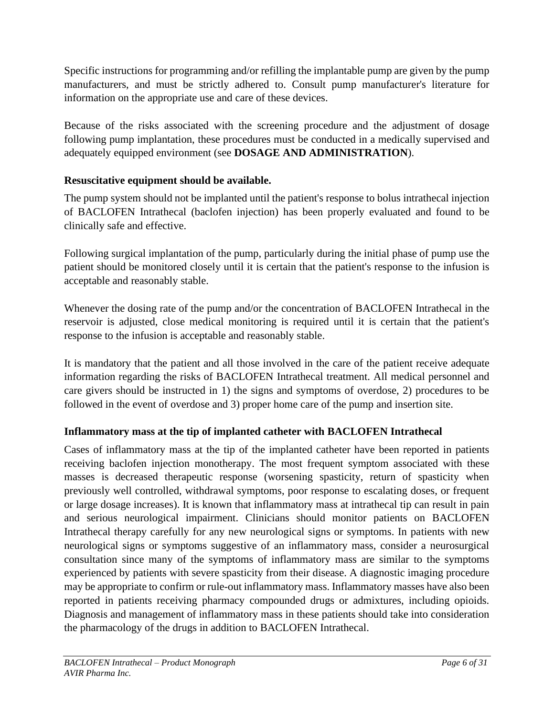Specific instructions for programming and/or refilling the implantable pump are given by the pump manufacturers, and must be strictly adhered to. Consult pump manufacturer's literature for information on the appropriate use and care of these devices.

Because of the risks associated with the screening procedure and the adjustment of dosage following pump implantation, these procedures must be conducted in a medically supervised and adequately equipped environment (see **DOSAGE AND ADMINISTRATION**).

# **Resuscitative equipment should be available.**

The pump system should not be implanted until the patient's response to bolus intrathecal injection of BACLOFEN Intrathecal (baclofen injection) has been properly evaluated and found to be clinically safe and effective.

Following surgical implantation of the pump, particularly during the initial phase of pump use the patient should be monitored closely until it is certain that the patient's response to the infusion is acceptable and reasonably stable.

Whenever the dosing rate of the pump and/or the concentration of BACLOFEN Intrathecal in the reservoir is adjusted, close medical monitoring is required until it is certain that the patient's response to the infusion is acceptable and reasonably stable.

It is mandatory that the patient and all those involved in the care of the patient receive adequate information regarding the risks of BACLOFEN Intrathecal treatment. All medical personnel and care givers should be instructed in 1) the signs and symptoms of overdose, 2) procedures to be followed in the event of overdose and 3) proper home care of the pump and insertion site.

# **Inflammatory mass at the tip of implanted catheter with BACLOFEN Intrathecal**

Cases of inflammatory mass at the tip of the implanted catheter have been reported in patients receiving baclofen injection monotherapy. The most frequent symptom associated with these masses is decreased therapeutic response (worsening spasticity, return of spasticity when previously well controlled, withdrawal symptoms, poor response to escalating doses, or frequent or large dosage increases). It is known that inflammatory mass at intrathecal tip can result in pain and serious neurological impairment. Clinicians should monitor patients on BACLOFEN Intrathecal therapy carefully for any new neurological signs or symptoms. In patients with new neurological signs or symptoms suggestive of an inflammatory mass, consider a neurosurgical consultation since many of the symptoms of inflammatory mass are similar to the symptoms experienced by patients with severe spasticity from their disease. A diagnostic imaging procedure may be appropriate to confirm or rule-out inflammatory mass. Inflammatory masses have also been reported in patients receiving pharmacy compounded drugs or admixtures, including opioids. Diagnosis and management of inflammatory mass in these patients should take into consideration the pharmacology of the drugs in addition to BACLOFEN Intrathecal.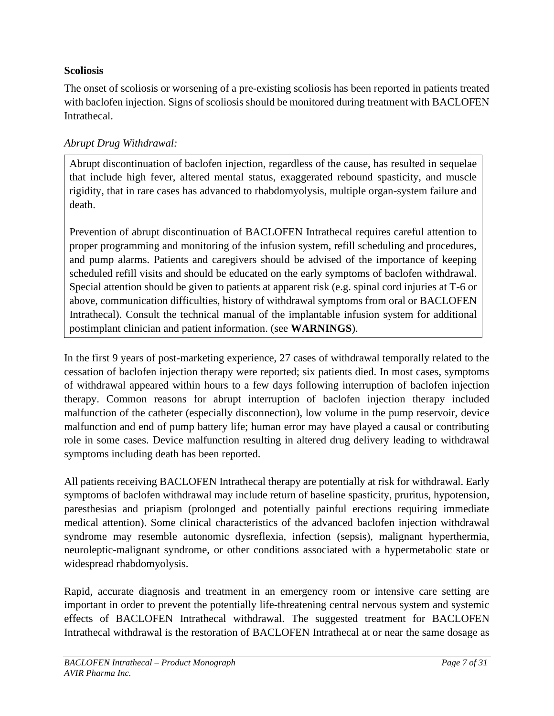# **Scoliosis**

The onset of scoliosis or worsening of a pre-existing scoliosis has been reported in patients treated with baclofen injection. Signs of scoliosis should be monitored during treatment with BACLOFEN Intrathecal.

# *Abrupt Drug Withdrawal:*

Abrupt discontinuation of baclofen injection, regardless of the cause, has resulted in sequelae that include high fever, altered mental status, exaggerated rebound spasticity, and muscle rigidity, that in rare cases has advanced to rhabdomyolysis, multiple organ-system failure and death.

Prevention of abrupt discontinuation of BACLOFEN Intrathecal requires careful attention to proper programming and monitoring of the infusion system, refill scheduling and procedures, and pump alarms. Patients and caregivers should be advised of the importance of keeping scheduled refill visits and should be educated on the early symptoms of baclofen withdrawal. Special attention should be given to patients at apparent risk (e.g. spinal cord injuries at T-6 or above, communication difficulties, history of withdrawal symptoms from oral or BACLOFEN Intrathecal). Consult the technical manual of the implantable infusion system for additional postimplant clinician and patient information. (see **WARNINGS**).

In the first 9 years of post-marketing experience, 27 cases of withdrawal temporally related to the cessation of baclofen injection therapy were reported; six patients died. In most cases, symptoms of withdrawal appeared within hours to a few days following interruption of baclofen injection therapy. Common reasons for abrupt interruption of baclofen injection therapy included malfunction of the catheter (especially disconnection), low volume in the pump reservoir, device malfunction and end of pump battery life; human error may have played a causal or contributing role in some cases. Device malfunction resulting in altered drug delivery leading to withdrawal symptoms including death has been reported.

All patients receiving BACLOFEN Intrathecal therapy are potentially at risk for withdrawal. Early symptoms of baclofen withdrawal may include return of baseline spasticity, pruritus, hypotension, paresthesias and priapism (prolonged and potentially painful erections requiring immediate medical attention). Some clinical characteristics of the advanced baclofen injection withdrawal syndrome may resemble autonomic dysreflexia, infection (sepsis), malignant hyperthermia, neuroleptic-malignant syndrome, or other conditions associated with a hypermetabolic state or widespread rhabdomyolysis.

Rapid, accurate diagnosis and treatment in an emergency room or intensive care setting are important in order to prevent the potentially life-threatening central nervous system and systemic effects of BACLOFEN Intrathecal withdrawal. The suggested treatment for BACLOFEN Intrathecal withdrawal is the restoration of BACLOFEN Intrathecal at or near the same dosage as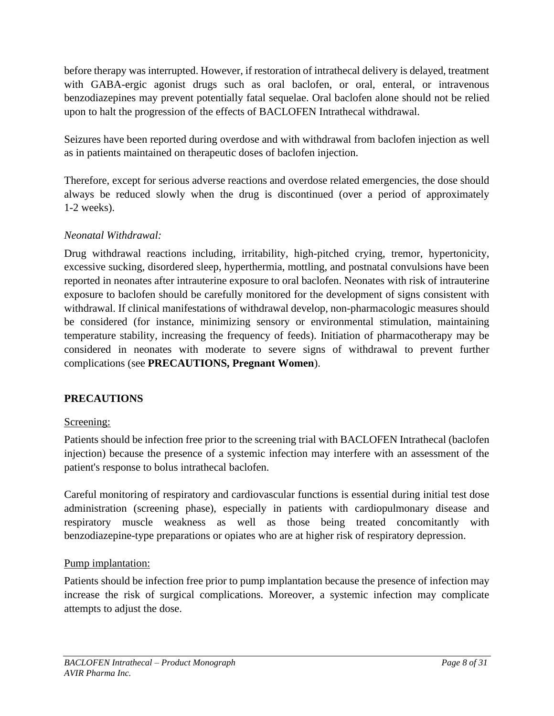before therapy was interrupted. However, if restoration of intrathecal delivery is delayed, treatment with GABA-ergic agonist drugs such as oral baclofen, or oral, enteral, or intravenous benzodiazepines may prevent potentially fatal sequelae. Oral baclofen alone should not be relied upon to halt the progression of the effects of BACLOFEN Intrathecal withdrawal.

Seizures have been reported during overdose and with withdrawal from baclofen injection as well as in patients maintained on therapeutic doses of baclofen injection.

Therefore, except for serious adverse reactions and overdose related emergencies, the dose should always be reduced slowly when the drug is discontinued (over a period of approximately 1-2 weeks).

# *Neonatal Withdrawal:*

Drug withdrawal reactions including, irritability, high-pitched crying, tremor, hypertonicity, excessive sucking, disordered sleep, hyperthermia, mottling, and postnatal convulsions have been reported in neonates after intrauterine exposure to oral baclofen. Neonates with risk of intrauterine exposure to baclofen should be carefully monitored for the development of signs consistent with withdrawal. If clinical manifestations of withdrawal develop, non-pharmacologic measures should be considered (for instance, minimizing sensory or environmental stimulation, maintaining temperature stability, increasing the frequency of feeds). Initiation of pharmacotherapy may be considered in neonates with moderate to severe signs of withdrawal to prevent further complications (see **PRECAUTIONS, Pregnant Women**).

## <span id="page-7-0"></span>**PRECAUTIONS**

## Screening:

Patients should be infection free prior to the screening trial with BACLOFEN Intrathecal (baclofen injection) because the presence of a systemic infection may interfere with an assessment of the patient's response to bolus intrathecal baclofen.

Careful monitoring of respiratory and cardiovascular functions is essential during initial test dose administration (screening phase), especially in patients with cardiopulmonary disease and respiratory muscle weakness as well as those being treated concomitantly with benzodiazepine-type preparations or opiates who are at higher risk of respiratory depression.

## Pump implantation:

Patients should be infection free prior to pump implantation because the presence of infection may increase the risk of surgical complications. Moreover, a systemic infection may complicate attempts to adjust the dose.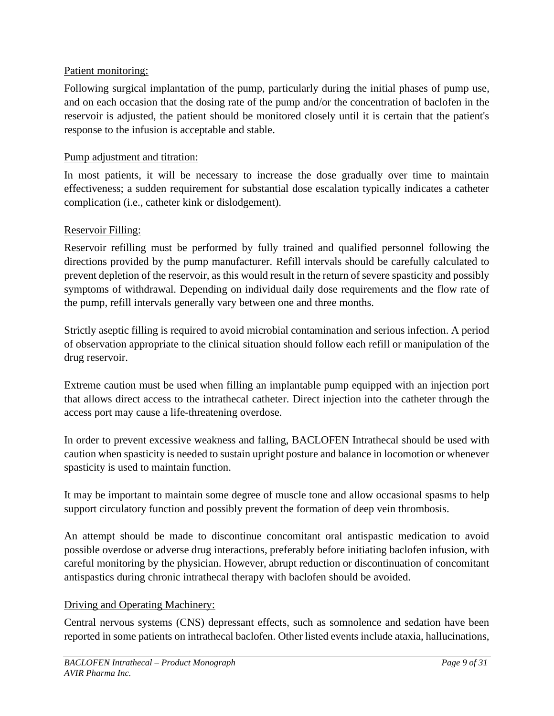# Patient monitoring:

Following surgical implantation of the pump, particularly during the initial phases of pump use, and on each occasion that the dosing rate of the pump and/or the concentration of baclofen in the reservoir is adjusted, the patient should be monitored closely until it is certain that the patient's response to the infusion is acceptable and stable.

# Pump adjustment and titration:

In most patients, it will be necessary to increase the dose gradually over time to maintain effectiveness; a sudden requirement for substantial dose escalation typically indicates a catheter complication (i.e., catheter kink or dislodgement).

# Reservoir Filling:

Reservoir refilling must be performed by fully trained and qualified personnel following the directions provided by the pump manufacturer. Refill intervals should be carefully calculated to prevent depletion of the reservoir, as this would result in the return of severe spasticity and possibly symptoms of withdrawal. Depending on individual daily dose requirements and the flow rate of the pump, refill intervals generally vary between one and three months.

Strictly aseptic filling is required to avoid microbial contamination and serious infection. A period of observation appropriate to the clinical situation should follow each refill or manipulation of the drug reservoir.

Extreme caution must be used when filling an implantable pump equipped with an injection port that allows direct access to the intrathecal catheter. Direct injection into the catheter through the access port may cause a life-threatening overdose.

In order to prevent excessive weakness and falling, BACLOFEN Intrathecal should be used with caution when spasticity is needed to sustain upright posture and balance in locomotion or whenever spasticity is used to maintain function.

It may be important to maintain some degree of muscle tone and allow occasional spasms to help support circulatory function and possibly prevent the formation of deep vein thrombosis.

An attempt should be made to discontinue concomitant oral antispastic medication to avoid possible overdose or adverse drug interactions, preferably before initiating baclofen infusion, with careful monitoring by the physician. However, abrupt reduction or discontinuation of concomitant antispastics during chronic intrathecal therapy with baclofen should be avoided.

# Driving and Operating Machinery:

Central nervous systems (CNS) depressant effects, such as somnolence and sedation have been reported in some patients on intrathecal baclofen. Other listed events include ataxia, hallucinations,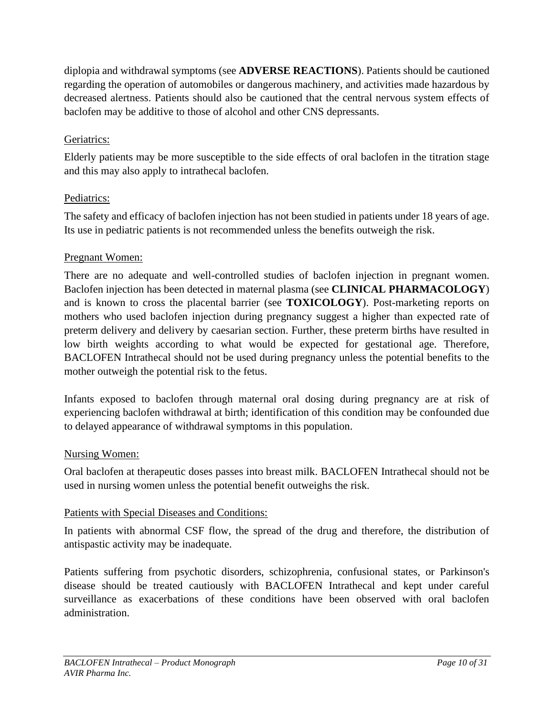diplopia and withdrawal symptoms (see **ADVERSE REACTIONS**). Patients should be cautioned regarding the operation of automobiles or dangerous machinery, and activities made hazardous by decreased alertness. Patients should also be cautioned that the central nervous system effects of baclofen may be additive to those of alcohol and other CNS depressants.

# Geriatrics:

Elderly patients may be more susceptible to the side effects of oral baclofen in the titration stage and this may also apply to intrathecal baclofen.

# Pediatrics:

The safety and efficacy of baclofen injection has not been studied in patients under 18 years of age. Its use in pediatric patients is not recommended unless the benefits outweigh the risk.

# Pregnant Women:

There are no adequate and well-controlled studies of baclofen injection in pregnant women. Baclofen injection has been detected in maternal plasma (see **CLINICAL PHARMACOLOGY**) and is known to cross the placental barrier (see **TOXICOLOGY**). Post-marketing reports on mothers who used baclofen injection during pregnancy suggest a higher than expected rate of preterm delivery and delivery by caesarian section. Further, these preterm births have resulted in low birth weights according to what would be expected for gestational age. Therefore, BACLOFEN Intrathecal should not be used during pregnancy unless the potential benefits to the mother outweigh the potential risk to the fetus.

Infants exposed to baclofen through maternal oral dosing during pregnancy are at risk of experiencing baclofen withdrawal at birth; identification of this condition may be confounded due to delayed appearance of withdrawal symptoms in this population.

# Nursing Women:

Oral baclofen at therapeutic doses passes into breast milk. BACLOFEN Intrathecal should not be used in nursing women unless the potential benefit outweighs the risk.

# Patients with Special Diseases and Conditions:

In patients with abnormal CSF flow, the spread of the drug and therefore, the distribution of antispastic activity may be inadequate.

Patients suffering from psychotic disorders, schizophrenia, confusional states, or Parkinson's disease should be treated cautiously with BACLOFEN Intrathecal and kept under careful surveillance as exacerbations of these conditions have been observed with oral baclofen administration.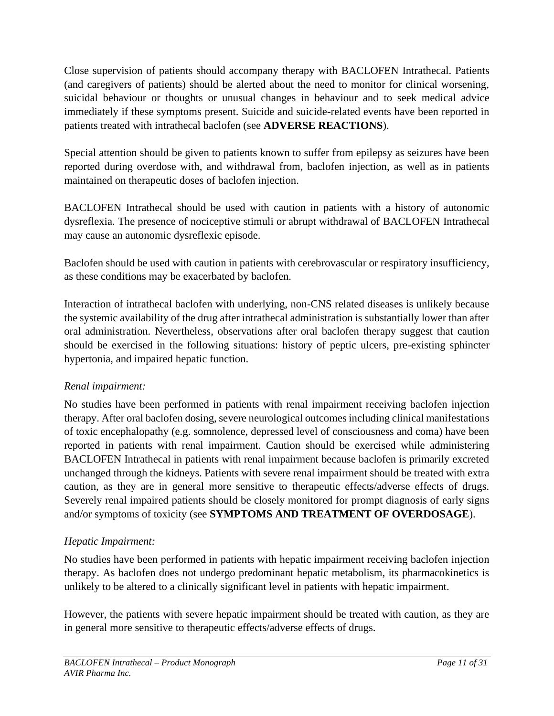Close supervision of patients should accompany therapy with BACLOFEN Intrathecal. Patients (and caregivers of patients) should be alerted about the need to monitor for clinical worsening, suicidal behaviour or thoughts or unusual changes in behaviour and to seek medical advice immediately if these symptoms present. Suicide and suicide-related events have been reported in patients treated with intrathecal baclofen (see **ADVERSE REACTIONS**).

Special attention should be given to patients known to suffer from epilepsy as seizures have been reported during overdose with, and withdrawal from, baclofen injection, as well as in patients maintained on therapeutic doses of baclofen injection.

BACLOFEN Intrathecal should be used with caution in patients with a history of autonomic dysreflexia. The presence of nociceptive stimuli or abrupt withdrawal of BACLOFEN Intrathecal may cause an autonomic dysreflexic episode.

Baclofen should be used with caution in patients with cerebrovascular or respiratory insufficiency, as these conditions may be exacerbated by baclofen.

Interaction of intrathecal baclofen with underlying, non-CNS related diseases is unlikely because the systemic availability of the drug after intrathecal administration is substantially lower than after oral administration. Nevertheless, observations after oral baclofen therapy suggest that caution should be exercised in the following situations: history of peptic ulcers, pre-existing sphincter hypertonia, and impaired hepatic function.

# *Renal impairment:*

No studies have been performed in patients with renal impairment receiving baclofen injection therapy. After oral baclofen dosing, severe neurological outcomes including clinical manifestations of toxic encephalopathy (e.g. somnolence, depressed level of consciousness and coma) have been reported in patients with renal impairment. Caution should be exercised while administering BACLOFEN Intrathecal in patients with renal impairment because baclofen is primarily excreted unchanged through the kidneys. Patients with severe renal impairment should be treated with extra caution, as they are in general more sensitive to therapeutic effects/adverse effects of drugs. Severely renal impaired patients should be closely monitored for prompt diagnosis of early signs and/or symptoms of toxicity (see **SYMPTOMS AND TREATMENT OF OVERDOSAGE**).

# *Hepatic Impairment:*

No studies have been performed in patients with hepatic impairment receiving baclofen injection therapy. As baclofen does not undergo predominant hepatic metabolism, its pharmacokinetics is unlikely to be altered to a clinically significant level in patients with hepatic impairment.

However, the patients with severe hepatic impairment should be treated with caution, as they are in general more sensitive to therapeutic effects/adverse effects of drugs.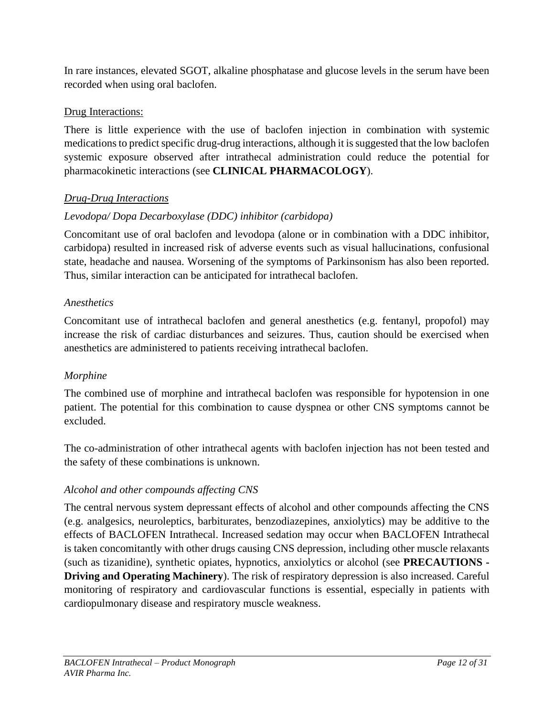In rare instances, elevated SGOT, alkaline phosphatase and glucose levels in the serum have been recorded when using oral baclofen.

# Drug Interactions:

There is little experience with the use of baclofen injection in combination with systemic medications to predict specific drug-drug interactions, although it is suggested that the low baclofen systemic exposure observed after intrathecal administration could reduce the potential for pharmacokinetic interactions (see **CLINICAL PHARMACOLOGY**).

# *Drug-Drug Interactions*

# *Levodopa/ Dopa Decarboxylase (DDC) inhibitor (carbidopa)*

Concomitant use of oral baclofen and levodopa (alone or in combination with a DDC inhibitor, carbidopa) resulted in increased risk of adverse events such as visual hallucinations, confusional state, headache and nausea. Worsening of the symptoms of Parkinsonism has also been reported. Thus, similar interaction can be anticipated for intrathecal baclofen.

# *Anesthetics*

Concomitant use of intrathecal baclofen and general anesthetics (e.g. fentanyl, propofol) may increase the risk of cardiac disturbances and seizures. Thus, caution should be exercised when anesthetics are administered to patients receiving intrathecal baclofen.

# *Morphine*

The combined use of morphine and intrathecal baclofen was responsible for hypotension in one patient. The potential for this combination to cause dyspnea or other CNS symptoms cannot be excluded.

The co-administration of other intrathecal agents with baclofen injection has not been tested and the safety of these combinations is unknown.

# *Alcohol and other compounds affecting CNS*

The central nervous system depressant effects of alcohol and other compounds affecting the CNS (e.g. analgesics, neuroleptics, barbiturates, benzodiazepines, anxiolytics) may be additive to the effects of BACLOFEN Intrathecal. Increased sedation may occur when BACLOFEN Intrathecal is taken concomitantly with other drugs causing CNS depression, including other muscle relaxants (such as tizanidine), synthetic opiates, hypnotics, anxiolytics or alcohol (see **PRECAUTIONS - Driving and Operating Machinery**). The risk of respiratory depression is also increased. Careful monitoring of respiratory and cardiovascular functions is essential, especially in patients with cardiopulmonary disease and respiratory muscle weakness.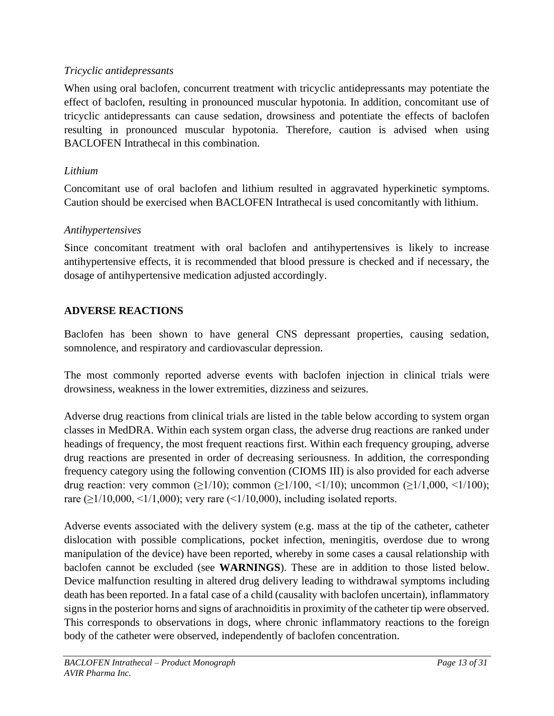# *Tricyclic antidepressants*

When using oral baclofen, concurrent treatment with tricyclic antidepressants may potentiate the effect of baclofen, resulting in pronounced muscular hypotonia. In addition, concomitant use of tricyclic antidepressants can cause sedation, drowsiness and potentiate the effects of baclofen resulting in pronounced muscular hypotonia. Therefore, caution is advised when using BACLOFEN Intrathecal in this combination.

# *Lithium*

Concomitant use of oral baclofen and lithium resulted in aggravated hyperkinetic symptoms. Caution should be exercised when BACLOFEN Intrathecal is used concomitantly with lithium.

# *Antihypertensives*

Since concomitant treatment with oral baclofen and antihypertensives is likely to increase antihypertensive effects, it is recommended that blood pressure is checked and if necessary, the dosage of antihypertensive medication adjusted accordingly.

# <span id="page-12-0"></span>**ADVERSE REACTIONS**

Baclofen has been shown to have general CNS depressant properties, causing sedation, somnolence, and respiratory and cardiovascular depression.

The most commonly reported adverse events with baclofen injection in clinical trials were drowsiness, weakness in the lower extremities, dizziness and seizures.

Adverse drug reactions from clinical trials are listed in the table below according to system organ classes in MedDRA. Within each system organ class, the adverse drug reactions are ranked under headings of frequency, the most frequent reactions first. Within each frequency grouping, adverse drug reactions are presented in order of decreasing seriousness. In addition, the corresponding frequency category using the following convention (CIOMS III) is also provided for each adverse drug reaction: very common ( $\geq 1/10$ ); common ( $\geq 1/100$ ,  $\leq 1/10$ ); uncommon ( $\geq 1/1,000, \leq 1/100$ ); rare ( $\geq$ 1/10,000, <1/1,000); very rare (<1/10,000), including isolated reports.

Adverse events associated with the delivery system (e.g. mass at the tip of the catheter, catheter dislocation with possible complications, pocket infection, meningitis, overdose due to wrong manipulation of the device) have been reported, whereby in some cases a causal relationship with baclofen cannot be excluded (see **WARNINGS**). These are in addition to those listed below. Device malfunction resulting in altered drug delivery leading to withdrawal symptoms including death has been reported. In a fatal case of a child (causality with baclofen uncertain), inflammatory signs in the posterior horns and signs of arachnoiditis in proximity of the catheter tip were observed. This corresponds to observations in dogs, where chronic inflammatory reactions to the foreign body of the catheter were observed, independently of baclofen concentration.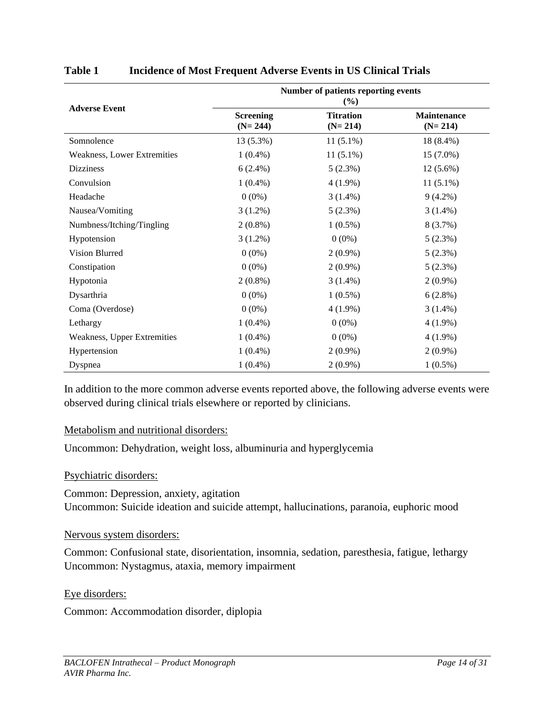| <b>Adverse Event</b>        | Number of patients reporting events<br>(%) |                               |                                 |  |
|-----------------------------|--------------------------------------------|-------------------------------|---------------------------------|--|
|                             | <b>Screening</b><br>$(N=244)$              | <b>Titration</b><br>$(N=214)$ | <b>Maintenance</b><br>$(N=214)$ |  |
| Somnolence                  | 13 (5.3%)                                  | $11(5.1\%)$                   | 18 (8.4%)                       |  |
| Weakness, Lower Extremities | $1(0.4\%)$                                 | $11(5.1\%)$                   | 15 (7.0%)                       |  |
| <b>Dizziness</b>            | $6(2.4\%)$                                 | 5(2.3%)                       | $12(5.6\%)$                     |  |
| Convulsion                  | $1(0.4\%)$                                 | $4(1.9\%)$                    | $11(5.1\%)$                     |  |
| Headache                    | $0(0\%)$                                   | $3(1.4\%)$                    | $9(4.2\%)$                      |  |
| Nausea/Vomiting             | $3(1.2\%)$                                 | 5(2.3%)                       | $3(1.4\%)$                      |  |
| Numbness/Itching/Tingling   | $2(0.8\%)$                                 | $1(0.5\%)$                    | 8(3.7%)                         |  |
| Hypotension                 | $3(1.2\%)$                                 | $0(0\%)$                      | 5(2.3%)                         |  |
| Vision Blurred              | $0(0\%)$                                   | $2(0.9\%)$                    | 5(2.3%)                         |  |
| Constipation                | $0(0\%)$                                   | $2(0.9\%)$                    | 5(2.3%)                         |  |
| Hypotonia                   | $2(0.8\%)$                                 | $3(1.4\%)$                    | $2(0.9\%)$                      |  |
| Dysarthria                  | $0(0\%)$                                   | $1(0.5\%)$                    | 6(2.8%)                         |  |
| Coma (Overdose)             | $0(0\%)$                                   | $4(1.9\%)$                    | $3(1.4\%)$                      |  |
| Lethargy                    | $1(0.4\%)$                                 | $0(0\%)$                      | $4(1.9\%)$                      |  |
| Weakness, Upper Extremities | $1(0.4\%)$                                 | $0(0\%)$                      | $4(1.9\%)$                      |  |
| Hypertension                | $1(0.4\%)$                                 | $2(0.9\%)$                    | $2(0.9\%)$                      |  |
| Dyspnea                     | $1(0.4\%)$                                 | $2(0.9\%)$                    | $1(0.5\%)$                      |  |

# **Table 1 Incidence of Most Frequent Adverse Events in US Clinical Trials**

In addition to the more common adverse events reported above, the following adverse events were observed during clinical trials elsewhere or reported by clinicians.

## Metabolism and nutritional disorders:

Uncommon: Dehydration, weight loss, albuminuria and hyperglycemia

## Psychiatric disorders:

Common: Depression, anxiety, agitation Uncommon: Suicide ideation and suicide attempt, hallucinations, paranoia, euphoric mood

## Nervous system disorders:

Common: Confusional state, disorientation, insomnia, sedation, paresthesia, fatigue, lethargy Uncommon: Nystagmus, ataxia, memory impairment

Eye disorders:

Common: Accommodation disorder, diplopia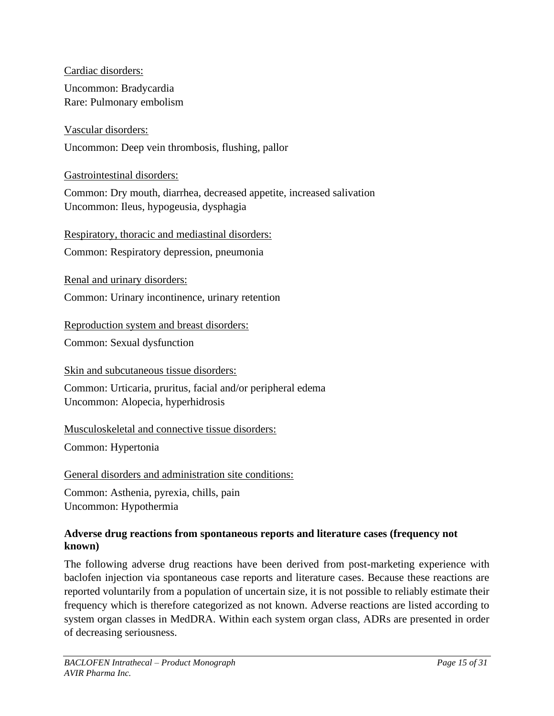Cardiac disorders:

Uncommon: Bradycardia Rare: Pulmonary embolism

Vascular disorders:

Uncommon: Deep vein thrombosis, flushing, pallor

Gastrointestinal disorders:

Common: Dry mouth, diarrhea, decreased appetite, increased salivation Uncommon: Ileus, hypogeusia, dysphagia

Respiratory, thoracic and mediastinal disorders:

Common: Respiratory depression, pneumonia

Renal and urinary disorders:

Common: Urinary incontinence, urinary retention

Reproduction system and breast disorders:

Common: Sexual dysfunction

Skin and subcutaneous tissue disorders:

Common: Urticaria, pruritus, facial and/or peripheral edema Uncommon: Alopecia, hyperhidrosis

Musculoskeletal and connective tissue disorders:

Common: Hypertonia

General disorders and administration site conditions:

Common: Asthenia, pyrexia, chills, pain Uncommon: Hypothermia

# **Adverse drug reactions from spontaneous reports and literature cases (frequency not known)**

The following adverse drug reactions have been derived from post-marketing experience with baclofen injection via spontaneous case reports and literature cases. Because these reactions are reported voluntarily from a population of uncertain size, it is not possible to reliably estimate their frequency which is therefore categorized as not known. Adverse reactions are listed according to system organ classes in MedDRA. Within each system organ class, ADRs are presented in order of decreasing seriousness.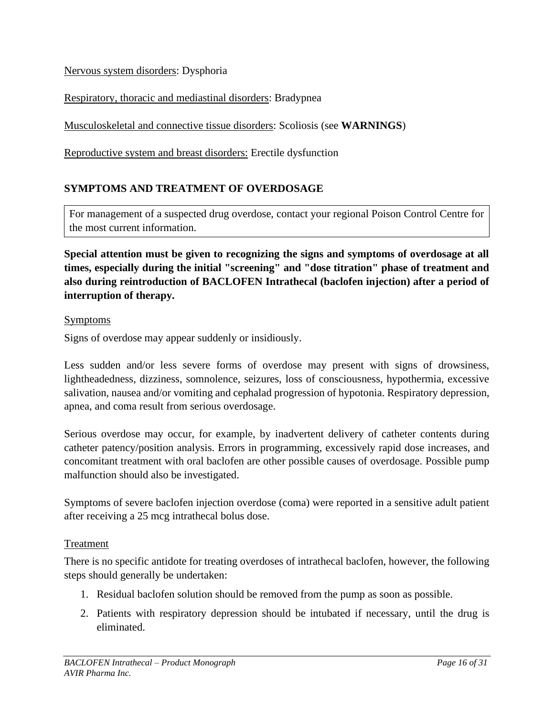Nervous system disorders: Dysphoria

Respiratory, thoracic and mediastinal disorders: Bradypnea

Musculoskeletal and connective tissue disorders: Scoliosis (see **WARNINGS**)

<span id="page-15-0"></span>Reproductive system and breast disorders: Erectile dysfunction

# **SYMPTOMS AND TREATMENT OF OVERDOSAGE**

For management of a suspected drug overdose, contact your regional Poison Control Centre for the most current information.

**Special attention must be given to recognizing the signs and symptoms of overdosage at all times, especially during the initial "screening" and "dose titration" phase of treatment and also during reintroduction of BACLOFEN Intrathecal (baclofen injection) after a period of interruption of therapy.**

### Symptoms

Signs of overdose may appear suddenly or insidiously.

Less sudden and/or less severe forms of overdose may present with signs of drowsiness, lightheadedness, dizziness, somnolence, seizures, loss of consciousness, hypothermia, excessive salivation, nausea and/or vomiting and cephalad progression of hypotonia. Respiratory depression, apnea, and coma result from serious overdosage.

Serious overdose may occur, for example, by inadvertent delivery of catheter contents during catheter patency/position analysis. Errors in programming, excessively rapid dose increases, and concomitant treatment with oral baclofen are other possible causes of overdosage. Possible pump malfunction should also be investigated.

Symptoms of severe baclofen injection overdose (coma) were reported in a sensitive adult patient after receiving a 25 mcg intrathecal bolus dose.

## Treatment

There is no specific antidote for treating overdoses of intrathecal baclofen, however, the following steps should generally be undertaken:

- 1. Residual baclofen solution should be removed from the pump as soon as possible.
- 2. Patients with respiratory depression should be intubated if necessary, until the drug is eliminated.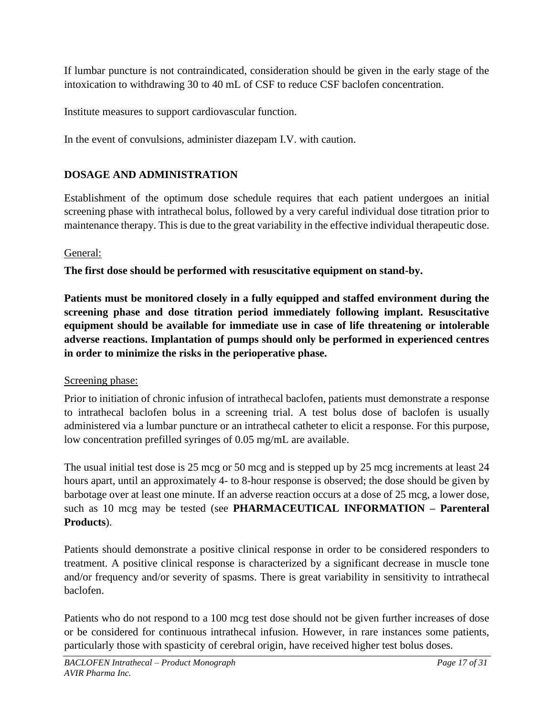If lumbar puncture is not contraindicated, consideration should be given in the early stage of the intoxication to withdrawing 30 to 40 mL of CSF to reduce CSF baclofen concentration.

Institute measures to support cardiovascular function.

<span id="page-16-0"></span>In the event of convulsions, administer diazepam I.V. with caution.

# **DOSAGE AND ADMINISTRATION**

Establishment of the optimum dose schedule requires that each patient undergoes an initial screening phase with intrathecal bolus, followed by a very careful individual dose titration prior to maintenance therapy. This is due to the great variability in the effective individual therapeutic dose.

# General:

**The first dose should be performed with resuscitative equipment on stand-by.**

**Patients must be monitored closely in a fully equipped and staffed environment during the screening phase and dose titration period immediately following implant. Resuscitative equipment should be available for immediate use in case of life threatening or intolerable adverse reactions. Implantation of pumps should only be performed in experienced centres in order to minimize the risks in the perioperative phase.**

# Screening phase:

Prior to initiation of chronic infusion of intrathecal baclofen, patients must demonstrate a response to intrathecal baclofen bolus in a screening trial. A test bolus dose of baclofen is usually administered via a lumbar puncture or an intrathecal catheter to elicit a response. For this purpose, low concentration prefilled syringes of 0.05 mg/mL are available.

The usual initial test dose is 25 mcg or 50 mcg and is stepped up by 25 mcg increments at least 24 hours apart, until an approximately 4- to 8-hour response is observed; the dose should be given by barbotage over at least one minute. If an adverse reaction occurs at a dose of 25 mcg, a lower dose, such as 10 mcg may be tested (see **PHARMACEUTICAL INFORMATION – Parenteral Products**).

Patients should demonstrate a positive clinical response in order to be considered responders to treatment. A positive clinical response is characterized by a significant decrease in muscle tone and/or frequency and/or severity of spasms. There is great variability in sensitivity to intrathecal baclofen.

Patients who do not respond to a 100 mcg test dose should not be given further increases of dose or be considered for continuous intrathecal infusion. However, in rare instances some patients, particularly those with spasticity of cerebral origin, have received higher test bolus doses.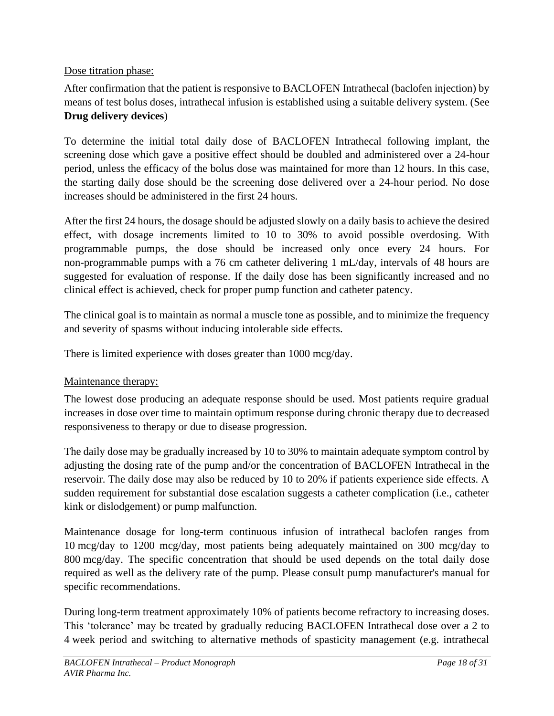# Dose titration phase:

After confirmation that the patient is responsive to BACLOFEN Intrathecal (baclofen injection) by means of test bolus doses, intrathecal infusion is established using a suitable delivery system. (See **Drug delivery devices**)

To determine the initial total daily dose of BACLOFEN Intrathecal following implant, the screening dose which gave a positive effect should be doubled and administered over a 24-hour period, unless the efficacy of the bolus dose was maintained for more than 12 hours. In this case, the starting daily dose should be the screening dose delivered over a 24-hour period. No dose increases should be administered in the first 24 hours.

After the first 24 hours, the dosage should be adjusted slowly on a daily basis to achieve the desired effect, with dosage increments limited to 10 to 30% to avoid possible overdosing. With programmable pumps, the dose should be increased only once every 24 hours. For non-programmable pumps with a 76 cm catheter delivering 1 mL/day, intervals of 48 hours are suggested for evaluation of response. If the daily dose has been significantly increased and no clinical effect is achieved, check for proper pump function and catheter patency.

The clinical goal is to maintain as normal a muscle tone as possible, and to minimize the frequency and severity of spasms without inducing intolerable side effects.

There is limited experience with doses greater than 1000 mcg/day.

# Maintenance therapy:

The lowest dose producing an adequate response should be used. Most patients require gradual increases in dose over time to maintain optimum response during chronic therapy due to decreased responsiveness to therapy or due to disease progression.

The daily dose may be gradually increased by 10 to 30% to maintain adequate symptom control by adjusting the dosing rate of the pump and/or the concentration of BACLOFEN Intrathecal in the reservoir. The daily dose may also be reduced by 10 to 20% if patients experience side effects. A sudden requirement for substantial dose escalation suggests a catheter complication (i.e., catheter kink or dislodgement) or pump malfunction.

Maintenance dosage for long-term continuous infusion of intrathecal baclofen ranges from 10 mcg/day to 1200 mcg/day, most patients being adequately maintained on 300 mcg/day to 800 mcg/day. The specific concentration that should be used depends on the total daily dose required as well as the delivery rate of the pump. Please consult pump manufacturer's manual for specific recommendations.

During long-term treatment approximately 10% of patients become refractory to increasing doses. This 'tolerance' may be treated by gradually reducing BACLOFEN Intrathecal dose over a 2 to 4 week period and switching to alternative methods of spasticity management (e.g. intrathecal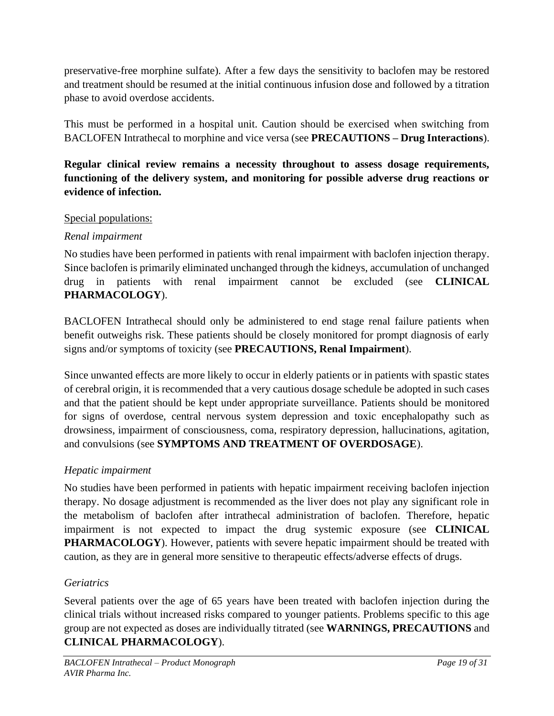preservative-free morphine sulfate). After a few days the sensitivity to baclofen may be restored and treatment should be resumed at the initial continuous infusion dose and followed by a titration phase to avoid overdose accidents.

This must be performed in a hospital unit. Caution should be exercised when switching from BACLOFEN Intrathecal to morphine and vice versa (see **PRECAUTIONS – Drug Interactions**).

# **Regular clinical review remains a necessity throughout to assess dosage requirements, functioning of the delivery system, and monitoring for possible adverse drug reactions or evidence of infection.**

# Special populations:

# *Renal impairment*

No studies have been performed in patients with renal impairment with baclofen injection therapy. Since baclofen is primarily eliminated unchanged through the kidneys, accumulation of unchanged drug in patients with renal impairment cannot be excluded (see **CLINICAL PHARMACOLOGY**).

BACLOFEN Intrathecal should only be administered to end stage renal failure patients when benefit outweighs risk. These patients should be closely monitored for prompt diagnosis of early signs and/or symptoms of toxicity (see **PRECAUTIONS, Renal Impairment**).

Since unwanted effects are more likely to occur in elderly patients or in patients with spastic states of cerebral origin, it is recommended that a very cautious dosage schedule be adopted in such cases and that the patient should be kept under appropriate surveillance. Patients should be monitored for signs of overdose, central nervous system depression and toxic encephalopathy such as drowsiness, impairment of consciousness, coma, respiratory depression, hallucinations, agitation, and convulsions (see **SYMPTOMS AND TREATMENT OF OVERDOSAGE**).

# *Hepatic impairment*

No studies have been performed in patients with hepatic impairment receiving baclofen injection therapy. No dosage adjustment is recommended as the liver does not play any significant role in the metabolism of baclofen after intrathecal administration of baclofen. Therefore, hepatic impairment is not expected to impact the drug systemic exposure (see **CLINICAL PHARMACOLOGY**). However, patients with severe hepatic impairment should be treated with caution, as they are in general more sensitive to therapeutic effects/adverse effects of drugs.

# *Geriatrics*

Several patients over the age of 65 years have been treated with baclofen injection during the clinical trials without increased risks compared to younger patients. Problems specific to this age group are not expected as doses are individually titrated (see **WARNINGS, PRECAUTIONS** and **CLINICAL PHARMACOLOGY**).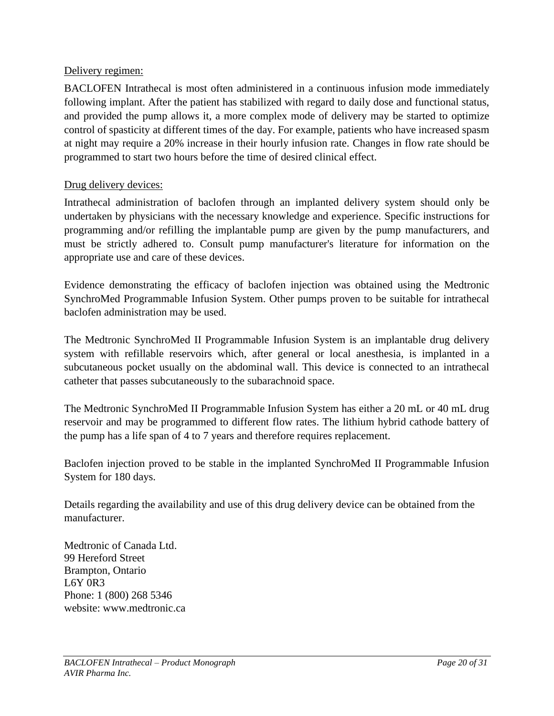# Delivery regimen:

BACLOFEN Intrathecal is most often administered in a continuous infusion mode immediately following implant. After the patient has stabilized with regard to daily dose and functional status, and provided the pump allows it, a more complex mode of delivery may be started to optimize control of spasticity at different times of the day. For example, patients who have increased spasm at night may require a 20% increase in their hourly infusion rate. Changes in flow rate should be programmed to start two hours before the time of desired clinical effect.

# Drug delivery devices:

Intrathecal administration of baclofen through an implanted delivery system should only be undertaken by physicians with the necessary knowledge and experience. Specific instructions for programming and/or refilling the implantable pump are given by the pump manufacturers, and must be strictly adhered to. Consult pump manufacturer's literature for information on the appropriate use and care of these devices.

Evidence demonstrating the efficacy of baclofen injection was obtained using the Medtronic SynchroMed Programmable Infusion System. Other pumps proven to be suitable for intrathecal baclofen administration may be used.

The Medtronic SynchroMed II Programmable Infusion System is an implantable drug delivery system with refillable reservoirs which, after general or local anesthesia, is implanted in a subcutaneous pocket usually on the abdominal wall. This device is connected to an intrathecal catheter that passes subcutaneously to the subarachnoid space.

The Medtronic SynchroMed II Programmable Infusion System has either a 20 mL or 40 mL drug reservoir and may be programmed to different flow rates. The lithium hybrid cathode battery of the pump has a life span of 4 to 7 years and therefore requires replacement.

Baclofen injection proved to be stable in the implanted SynchroMed II Programmable Infusion System for 180 days.

Details regarding the availability and use of this drug delivery device can be obtained from the manufacturer.

Medtronic of Canada Ltd. 99 Hereford Street Brampton, Ontario L6Y 0R3 Phone: 1 (800) 268 5346 website: www.medtronic.ca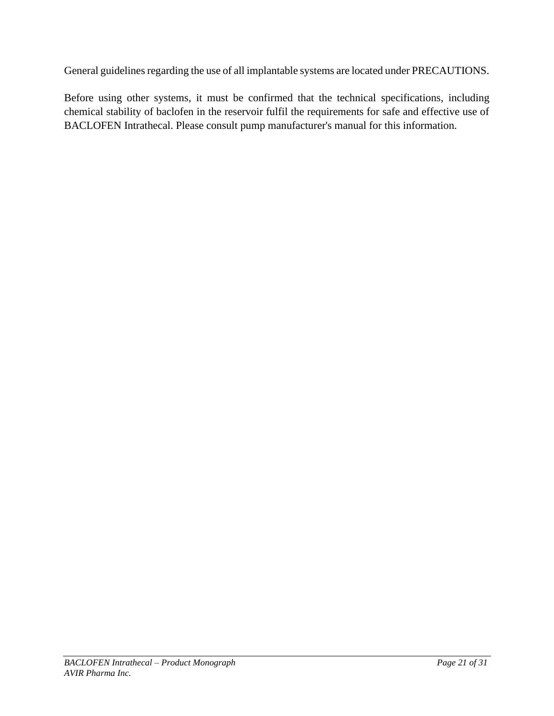General guidelines regarding the use of all implantable systems are located under PRECAUTIONS.

Before using other systems, it must be confirmed that the technical specifications, including chemical stability of baclofen in the reservoir fulfil the requirements for safe and effective use of BACLOFEN Intrathecal. Please consult pump manufacturer's manual for this information.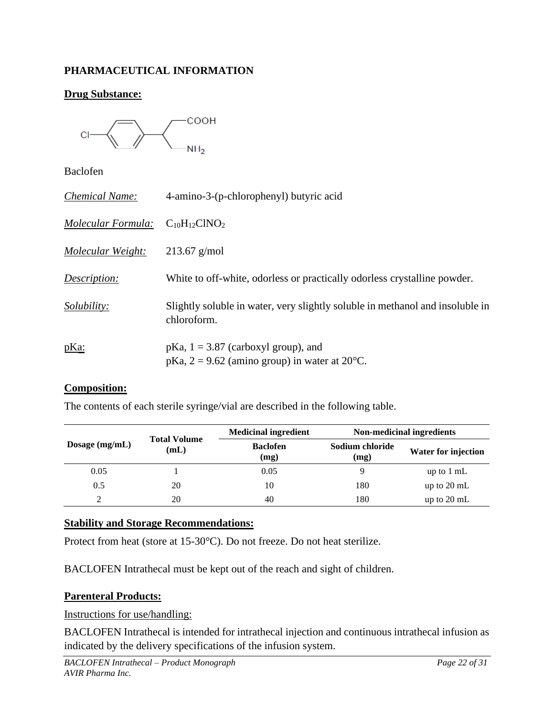# <span id="page-21-0"></span>**PHARMACEUTICAL INFORMATION**

# **Drug Substance:**



Baclofen

| <b>Chemical Name:</b> | 4-amino-3-(p-chlorophenyl) butyric acid                                                               |
|-----------------------|-------------------------------------------------------------------------------------------------------|
| Molecular Formula:    | $C_{10}H_{12}CINO_2$                                                                                  |
| Molecular Weight:     | $213.67$ g/mol                                                                                        |
| Description:          | White to off-white, odorless or practically odorless crystalline powder.                              |
| <i>Solubility:</i>    | Slightly soluble in water, very slightly soluble in methanol and insoluble in<br>chloroform.          |
| $p$ Ka:               | $pKa$ , $1 = 3.87$ (carboxyl group), and<br>pKa, $2 = 9.62$ (amino group) in water at $20^{\circ}$ C. |

### **Composition:**

The contents of each sterile syringe/vial are described in the following table.

|                                                 |                         | <b>Medicinal ingredient</b> | Non-medicinal ingredients |                       |
|-------------------------------------------------|-------------------------|-----------------------------|---------------------------|-----------------------|
| <b>Total Volume</b><br>Dosage $(mg/mL)$<br>(mL) | <b>Baclofen</b><br>(mg) | Sodium chloride<br>(mg)     | Water for injection       |                       |
| 0.05                                            |                         | 0.05                        | Q                         | up to $1 \text{ mL}$  |
| 0.5                                             | 20                      | 10                          | 180                       | up to $20 \text{ mL}$ |
| C                                               | 20                      | 40                          | 180                       | up to $20 \text{ mL}$ |

## **Stability and Storage Recommendations:**

Protect from heat (store at 15-30°C). Do not freeze. Do not heat sterilize.

BACLOFEN Intrathecal must be kept out of the reach and sight of children.

## **Parenteral Products:**

### Instructions for use/handling:

BACLOFEN Intrathecal is intended for intrathecal injection and continuous intrathecal infusion as indicated by the delivery specifications of the infusion system.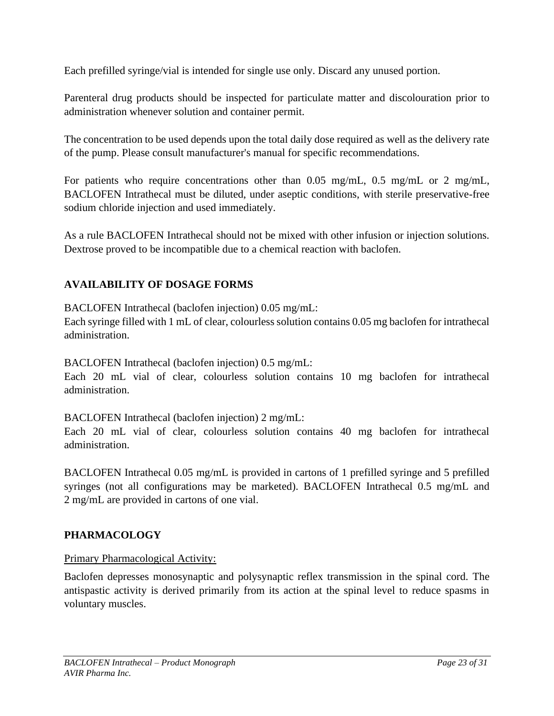Each prefilled syringe/vial is intended for single use only. Discard any unused portion.

Parenteral drug products should be inspected for particulate matter and discolouration prior to administration whenever solution and container permit.

The concentration to be used depends upon the total daily dose required as well as the delivery rate of the pump. Please consult manufacturer's manual for specific recommendations.

For patients who require concentrations other than 0.05 mg/mL, 0.5 mg/mL or 2 mg/mL, BACLOFEN Intrathecal must be diluted, under aseptic conditions, with sterile preservative-free sodium chloride injection and used immediately.

As a rule BACLOFEN Intrathecal should not be mixed with other infusion or injection solutions. Dextrose proved to be incompatible due to a chemical reaction with baclofen.

# <span id="page-22-0"></span>**AVAILABILITY OF DOSAGE FORMS**

BACLOFEN Intrathecal (baclofen injection) 0.05 mg/mL:

Each syringe filled with 1 mL of clear, colourless solution contains 0.05 mg baclofen for intrathecal administration.

BACLOFEN Intrathecal (baclofen injection) 0.5 mg/mL:

Each 20 mL vial of clear, colourless solution contains 10 mg baclofen for intrathecal administration.

BACLOFEN Intrathecal (baclofen injection) 2 mg/mL:

Each 20 mL vial of clear, colourless solution contains 40 mg baclofen for intrathecal administration.

BACLOFEN Intrathecal 0.05 mg/mL is provided in cartons of 1 prefilled syringe and 5 prefilled syringes (not all configurations may be marketed). BACLOFEN Intrathecal 0.5 mg/mL and 2 mg/mL are provided in cartons of one vial.

# <span id="page-22-1"></span>**PHARMACOLOGY**

## Primary Pharmacological Activity:

Baclofen depresses monosynaptic and polysynaptic reflex transmission in the spinal cord. The antispastic activity is derived primarily from its action at the spinal level to reduce spasms in voluntary muscles.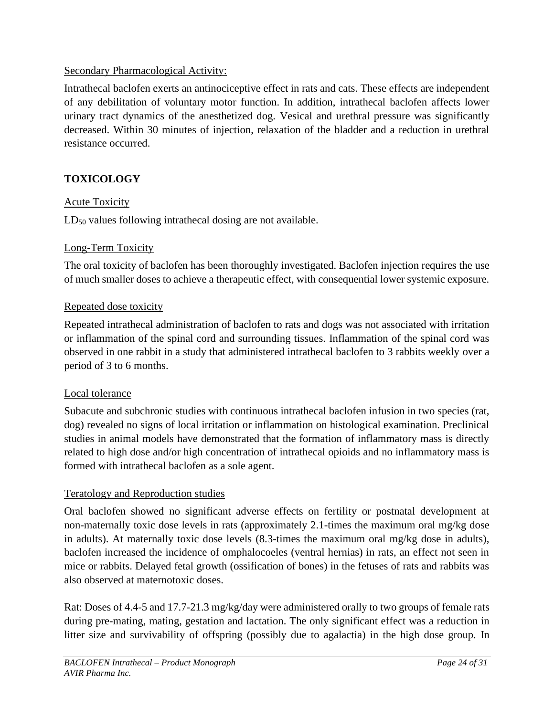# Secondary Pharmacological Activity:

Intrathecal baclofen exerts an antinociceptive effect in rats and cats. These effects are independent of any debilitation of voluntary motor function. In addition, intrathecal baclofen affects lower urinary tract dynamics of the anesthetized dog. Vesical and urethral pressure was significantly decreased. Within 30 minutes of injection, relaxation of the bladder and a reduction in urethral resistance occurred.

# <span id="page-23-0"></span>**TOXICOLOGY**

# Acute Toxicity

LD<sub>50</sub> values following intrathecal dosing are not available.

# Long-Term Toxicity

The oral toxicity of baclofen has been thoroughly investigated. Baclofen injection requires the use of much smaller doses to achieve a therapeutic effect, with consequential lower systemic exposure.

## Repeated dose toxicity

Repeated intrathecal administration of baclofen to rats and dogs was not associated with irritation or inflammation of the spinal cord and surrounding tissues. Inflammation of the spinal cord was observed in one rabbit in a study that administered intrathecal baclofen to 3 rabbits weekly over a period of 3 to 6 months.

## Local tolerance

Subacute and subchronic studies with continuous intrathecal baclofen infusion in two species (rat, dog) revealed no signs of local irritation or inflammation on histological examination. Preclinical studies in animal models have demonstrated that the formation of inflammatory mass is directly related to high dose and/or high concentration of intrathecal opioids and no inflammatory mass is formed with intrathecal baclofen as a sole agent.

# Teratology and Reproduction studies

Oral baclofen showed no significant adverse effects on fertility or postnatal development at non-maternally toxic dose levels in rats (approximately 2.1-times the maximum oral mg/kg dose in adults). At maternally toxic dose levels (8.3-times the maximum oral mg/kg dose in adults), baclofen increased the incidence of omphalocoeles (ventral hernias) in rats, an effect not seen in mice or rabbits. Delayed fetal growth (ossification of bones) in the fetuses of rats and rabbits was also observed at maternotoxic doses.

Rat: Doses of 4.4-5 and 17.7-21.3 mg/kg/day were administered orally to two groups of female rats during pre-mating, mating, gestation and lactation. The only significant effect was a reduction in litter size and survivability of offspring (possibly due to agalactia) in the high dose group. In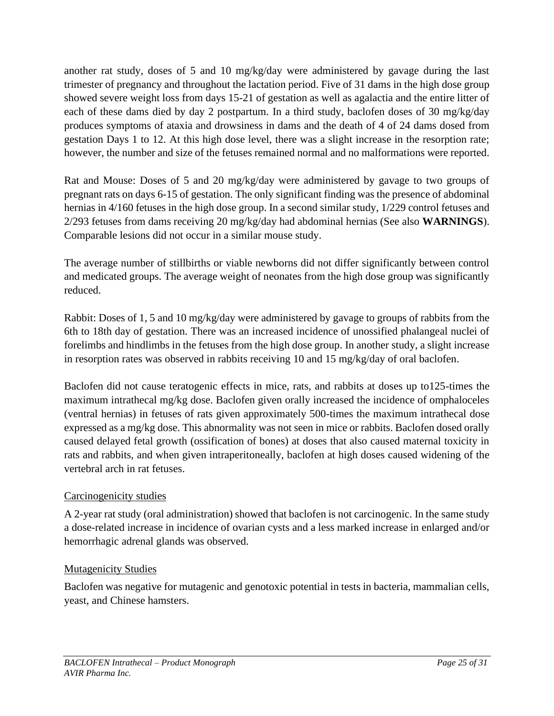another rat study, doses of 5 and 10 mg/kg/day were administered by gavage during the last trimester of pregnancy and throughout the lactation period. Five of 31 dams in the high dose group showed severe weight loss from days 15-21 of gestation as well as agalactia and the entire litter of each of these dams died by day 2 postpartum. In a third study, baclofen doses of 30 mg/kg/day produces symptoms of ataxia and drowsiness in dams and the death of 4 of 24 dams dosed from gestation Days 1 to 12. At this high dose level, there was a slight increase in the resorption rate; however, the number and size of the fetuses remained normal and no malformations were reported.

Rat and Mouse: Doses of 5 and 20 mg/kg/day were administered by gavage to two groups of pregnant rats on days 6-15 of gestation. The only significant finding was the presence of abdominal hernias in 4/160 fetuses in the high dose group. In a second similar study, 1/229 control fetuses and 2/293 fetuses from dams receiving 20 mg/kg/day had abdominal hernias (See also **WARNINGS**). Comparable lesions did not occur in a similar mouse study.

The average number of stillbirths or viable newborns did not differ significantly between control and medicated groups. The average weight of neonates from the high dose group was significantly reduced.

Rabbit: Doses of 1, 5 and 10 mg/kg/day were administered by gavage to groups of rabbits from the 6th to 18th day of gestation. There was an increased incidence of unossified phalangeal nuclei of forelimbs and hindlimbs in the fetuses from the high dose group. In another study, a slight increase in resorption rates was observed in rabbits receiving 10 and 15 mg/kg/day of oral baclofen.

Baclofen did not cause teratogenic effects in mice, rats, and rabbits at doses up to125-times the maximum intrathecal mg/kg dose. Baclofen given orally increased the incidence of omphaloceles (ventral hernias) in fetuses of rats given approximately 500-times the maximum intrathecal dose expressed as a mg/kg dose. This abnormality was not seen in mice or rabbits. Baclofen dosed orally caused delayed fetal growth (ossification of bones) at doses that also caused maternal toxicity in rats and rabbits, and when given intraperitoneally, baclofen at high doses caused widening of the vertebral arch in rat fetuses.

# Carcinogenicity studies

A 2-year rat study (oral administration) showed that baclofen is not carcinogenic. In the same study a dose-related increase in incidence of ovarian cysts and a less marked increase in enlarged and/or hemorrhagic adrenal glands was observed.

## Mutagenicity Studies

Baclofen was negative for mutagenic and genotoxic potential in tests in bacteria, mammalian cells, yeast, and Chinese hamsters.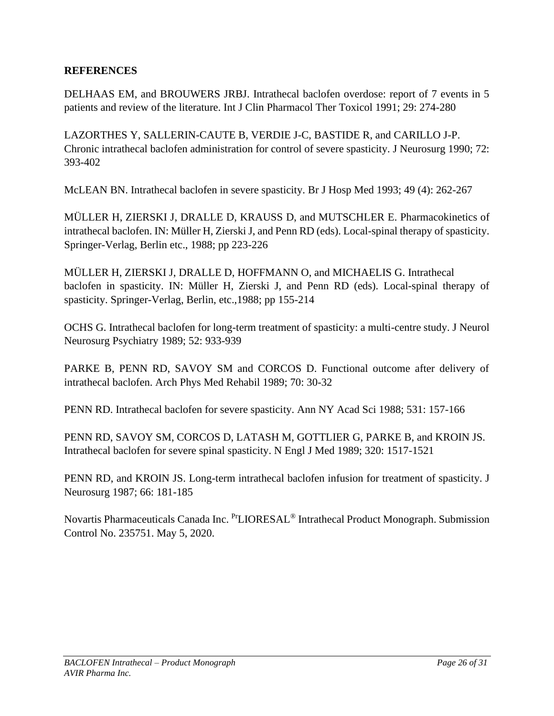# <span id="page-25-0"></span>**REFERENCES**

DELHAAS EM, and BROUWERS JRBJ. Intrathecal baclofen overdose: report of 7 events in 5 patients and review of the literature. Int J Clin Pharmacol Ther Toxicol 1991; 29: 274-280

LAZORTHES Y, SALLERIN-CAUTE B, VERDIE J-C, BASTIDE R, and CARILLO J-P. Chronic intrathecal baclofen administration for control of severe spasticity. J Neurosurg 1990; 72: 393-402

McLEAN BN. Intrathecal baclofen in severe spasticity. Br J Hosp Med 1993; 49 (4): 262-267

MÜLLER H, ZIERSKI J, DRALLE D, KRAUSS D, and MUTSCHLER E. Pharmacokinetics of intrathecal baclofen. IN: Müller H, Zierski J, and Penn RD (eds). Local-spinal therapy of spasticity. Springer-Verlag, Berlin etc., 1988; pp 223-226

MÜLLER H, ZIERSKI J, DRALLE D, HOFFMANN O, and MICHAELIS G. Intrathecal baclofen in spasticity. IN: Müller H, Zierski J, and Penn RD (eds). Local-spinal therapy of spasticity. Springer-Verlag, Berlin, etc.,1988; pp 155-214

OCHS G. Intrathecal baclofen for long-term treatment of spasticity: a multi-centre study. J Neurol Neurosurg Psychiatry 1989; 52: 933-939

PARKE B, PENN RD, SAVOY SM and CORCOS D. Functional outcome after delivery of intrathecal baclofen. Arch Phys Med Rehabil 1989; 70: 30-32

PENN RD. Intrathecal baclofen for severe spasticity. Ann NY Acad Sci 1988; 531: 157-166

PENN RD, SAVOY SM, CORCOS D, LATASH M, GOTTLIER G, PARKE B, and KROIN JS. Intrathecal baclofen for severe spinal spasticity. N Engl J Med 1989; 320: 1517-1521

PENN RD, and KROIN JS. Long-term intrathecal baclofen infusion for treatment of spasticity. J Neurosurg 1987; 66: 181-185

Novartis Pharmaceuticals Canada Inc. PrLIORESAL® Intrathecal Product Monograph. Submission Control No. 235751. May 5, 2020.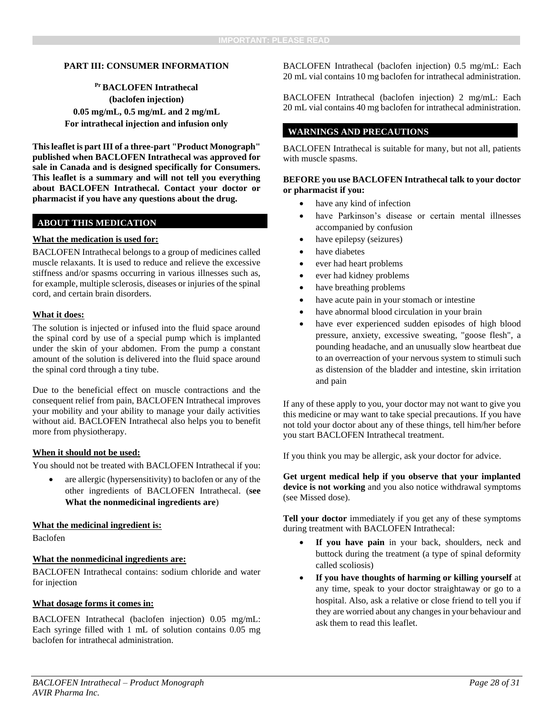#### <span id="page-27-0"></span>**PART III: CONSUMER INFORMATION**

**Pr BACLOFEN Intrathecal (baclofen injection) 0.05 mg/mL, 0.5 mg/mL and 2 mg/mL For intrathecal injection and infusion only**

**This leaflet is part III of a three-part "Product Monograph" published when BACLOFEN Intrathecal was approved for sale in Canada and is designed specifically for Consumers. This leaflet is a summary and will not tell you everything about BACLOFEN Intrathecal. Contact your doctor or pharmacist if you have any questions about the drug.**

### **ABOUT THIS MEDICATION**

#### **What the medication is used for:**

BACLOFEN Intrathecal belongs to a group of medicines called muscle relaxants. It is used to reduce and relieve the excessive stiffness and/or spasms occurring in various illnesses such as, for example, multiple sclerosis, diseases or injuries of the spinal cord, and certain brain disorders.

#### **What it does:**

The solution is injected or infused into the fluid space around the spinal cord by use of a special pump which is implanted under the skin of your abdomen. From the pump a constant amount of the solution is delivered into the fluid space around the spinal cord through a tiny tube.

Due to the beneficial effect on muscle contractions and the consequent relief from pain, BACLOFEN Intrathecal improves your mobility and your ability to manage your daily activities without aid. BACLOFEN Intrathecal also helps you to benefit more from physiotherapy.

#### **When it should not be used:**

You should not be treated with BACLOFEN Intrathecal if you:

are allergic (hypersensitivity) to baclofen or any of the other ingredients of BACLOFEN Intrathecal. (**see What the nonmedicinal ingredients are**)

#### **What the medicinal ingredient is:**

Baclofen

### **What the nonmedicinal ingredients are:**

BACLOFEN Intrathecal contains: sodium chloride and water for injection

#### **What dosage forms it comes in:**

BACLOFEN Intrathecal (baclofen injection) 0.05 mg/mL: Each syringe filled with 1 mL of solution contains 0.05 mg baclofen for intrathecal administration.

BACLOFEN Intrathecal (baclofen injection) 0.5 mg/mL: Each 20 mL vial contains 10 mg baclofen for intrathecal administration.

BACLOFEN Intrathecal (baclofen injection) 2 mg/mL: Each 20 mL vial contains 40 mg baclofen for intrathecal administration.

### **WARNINGS AND PRECAUTIONS**

BACLOFEN Intrathecal is suitable for many, but not all, patients with muscle spasms.

#### **BEFORE you use BACLOFEN Intrathecal talk to your doctor or pharmacist if you:**

- have any kind of infection
- have Parkinson's disease or certain mental illnesses accompanied by confusion
- have epilepsy (seizures)
- have diabetes
- ever had heart problems
- ever had kidney problems
- have breathing problems
- have acute pain in your stomach or intestine
- have abnormal blood circulation in your brain
- have ever experienced sudden episodes of high blood pressure, anxiety, excessive sweating, "goose flesh", a pounding headache, and an unusually slow heartbeat due to an overreaction of your nervous system to stimuli such as distension of the bladder and intestine, skin irritation and pain

If any of these apply to you, your doctor may not want to give you this medicine or may want to take special precautions. If you have not told your doctor about any of these things, tell him/her before you start BACLOFEN Intrathecal treatment.

If you think you may be allergic, ask your doctor for advice.

**Get urgent medical help if you observe that your implanted device is not working** and you also notice withdrawal symptoms (see Missed dose).

**Tell your doctor** immediately if you get any of these symptoms during treatment with BACLOFEN Intrathecal:

- If you have pain in your back, shoulders, neck and buttock during the treatment (a type of spinal deformity called scoliosis)
- **If you have thoughts of harming or killing yourself** at any time, speak to your doctor straightaway or go to a hospital. Also, ask a relative or close friend to tell you if they are worried about any changes in your behaviour and ask them to read this leaflet.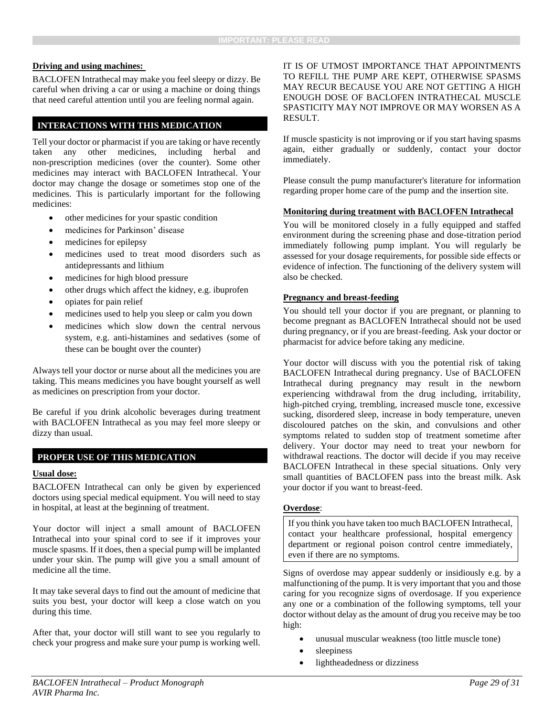#### **Driving and using machines:**

BACLOFEN Intrathecal may make you feel sleepy or dizzy. Be careful when driving a car or using a machine or doing things that need careful attention until you are feeling normal again.

### **INTERACTIONS WITH THIS MEDICATION**

Tell your doctor or pharmacist if you are taking or have recently taken any other medicines, including herbal and non-prescription medicines (over the counter). Some other medicines may interact with BACLOFEN Intrathecal. Your doctor may change the dosage or sometimes stop one of the medicines. This is particularly important for the following medicines:

- other medicines for your spastic condition
- medicines for Parkinson' disease
- medicines for epilepsy
- medicines used to treat mood disorders such as antidepressants and lithium
- medicines for high blood pressure
- other drugs which affect the kidney, e.g. ibuprofen
- opiates for pain relief
- medicines used to help you sleep or calm you down
- medicines which slow down the central nervous system, e.g. anti-histamines and sedatives (some of these can be bought over the counter)

Always tell your doctor or nurse about all the medicines you are taking. This means medicines you have bought yourself as well as medicines on prescription from your doctor.

Be careful if you drink alcoholic beverages during treatment with BACLOFEN Intrathecal as you may feel more sleepy or dizzy than usual.

### **PROPER USE OF THIS MEDICATION**

#### **Usual dose:**

BACLOFEN Intrathecal can only be given by experienced doctors using special medical equipment. You will need to stay in hospital, at least at the beginning of treatment.

Your doctor will inject a small amount of BACLOFEN Intrathecal into your spinal cord to see if it improves your muscle spasms. If it does, then a special pump will be implanted under your skin. The pump will give you a small amount of medicine all the time.

It may take several days to find out the amount of medicine that suits you best, your doctor will keep a close watch on you during this time.

After that, your doctor will still want to see you regularly to check your progress and make sure your pump is working well. IT IS OF UTMOST IMPORTANCE THAT APPOINTMENTS TO REFILL THE PUMP ARE KEPT, OTHERWISE SPASMS MAY RECUR BECAUSE YOU ARE NOT GETTING A HIGH ENOUGH DOSE OF BACLOFEN INTRATHECAL MUSCLE SPASTICITY MAY NOT IMPROVE OR MAY WORSEN AS A RESULT.

If muscle spasticity is not improving or if you start having spasms again, either gradually or suddenly, contact your doctor immediately.

Please consult the pump manufacturer's literature for information regarding proper home care of the pump and the insertion site.

#### **Monitoring during treatment with BACLOFEN Intrathecal**

You will be monitored closely in a fully equipped and staffed environment during the screening phase and dose-titration period immediately following pump implant. You will regularly be assessed for your dosage requirements, for possible side effects or evidence of infection. The functioning of the delivery system will also be checked.

#### **Pregnancy and breast-feeding**

You should tell your doctor if you are pregnant, or planning to become pregnant as BACLOFEN Intrathecal should not be used during pregnancy, or if you are breast-feeding. Ask your doctor or pharmacist for advice before taking any medicine.

Your doctor will discuss with you the potential risk of taking BACLOFEN Intrathecal during pregnancy. Use of BACLOFEN Intrathecal during pregnancy may result in the newborn experiencing withdrawal from the drug including, irritability, high-pitched crying, trembling, increased muscle tone, excessive sucking, disordered sleep, increase in body temperature, uneven discoloured patches on the skin, and convulsions and other symptoms related to sudden stop of treatment sometime after delivery. Your doctor may need to treat your newborn for withdrawal reactions. The doctor will decide if you may receive BACLOFEN Intrathecal in these special situations. Only very small quantities of BACLOFEN pass into the breast milk. Ask your doctor if you want to breast-feed.

#### **Overdose**:

If you think you have taken too much BACLOFEN Intrathecal, contact your healthcare professional, hospital emergency department or regional poison control centre immediately, even if there are no symptoms.

Signs of overdose may appear suddenly or insidiously e.g. by a malfunctioning of the pump. It is very important that you and those caring for you recognize signs of overdosage. If you experience any one or a combination of the following symptoms, tell your doctor without delay as the amount of drug you receive may be too high:

- unusual muscular weakness (too little muscle tone)
- sleepiness
- lightheadedness or dizziness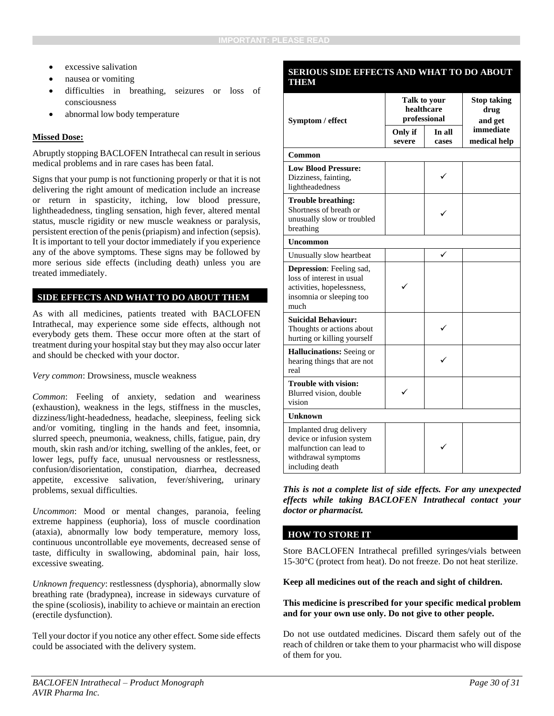- excessive salivation
- nausea or vomiting
- difficulties in breathing, seizures or loss of consciousness
- abnormal low body temperature

#### **Missed Dose:**

Abruptly stopping BACLOFEN Intrathecal can result in serious medical problems and in rare cases has been fatal.

Signs that your pump is not functioning properly or that it is not delivering the right amount of medication include an increase or return in spasticity, itching, low blood pressure, lightheadedness, tingling sensation, high fever, altered mental status, muscle rigidity or new muscle weakness or paralysis, persistent erection of the penis (priapism) and infection (sepsis). It is important to tell your doctor immediately if you experience any of the above symptoms. These signs may be followed by more serious side effects (including death) unless you are treated immediately.

### **SIDE EFFECTS AND WHAT TO DO ABOUT THEM**

As with all medicines, patients treated with BACLOFEN Intrathecal, may experience some side effects, although not everybody gets them. These occur more often at the start of treatment during your hospital stay but they may also occur later and should be checked with your doctor.

*Very common*: Drowsiness, muscle weakness

*Common*: Feeling of anxiety, sedation and weariness (exhaustion), weakness in the legs, stiffness in the muscles, dizziness/light-headedness, headache, sleepiness, feeling sick and/or vomiting, tingling in the hands and feet, insomnia, slurred speech, pneumonia, weakness, chills, fatigue, pain, dry mouth, skin rash and/or itching, swelling of the ankles, feet, or lower legs, puffy face, unusual nervousness or restlessness, confusion/disorientation, constipation, diarrhea, decreased appetite, excessive salivation, fever/shivering, urinary problems, sexual difficulties.

*Uncommon*: Mood or mental changes, paranoia, feeling extreme happiness (euphoria), loss of muscle coordination (ataxia), abnormally low body temperature, memory loss, continuous uncontrollable eye movements, decreased sense of taste, difficulty in swallowing, abdominal pain, hair loss, excessive sweating.

*Unknown frequency*: restlessness (dysphoria), abnormally slow breathing rate (bradypnea), increase in sideways curvature of the spine (scoliosis), inability to achieve or maintain an erection (erectile dysfunction).

Tell your doctor if you notice any other effect. Some side effects could be associated with the delivery system.

#### **SERIOUS SIDE EFFECTS AND WHAT TO DO ABOUT THEM**

| Symptom / effect                                                                                                               | Talk to your<br>healthcare<br>professional |                 | <b>Stop taking</b><br>drug<br>and get |  |
|--------------------------------------------------------------------------------------------------------------------------------|--------------------------------------------|-----------------|---------------------------------------|--|
|                                                                                                                                | Only if<br>severe                          | In all<br>cases | immediate<br>medical help             |  |
| Common                                                                                                                         |                                            |                 |                                       |  |
| <b>Low Blood Pressure:</b><br>Dizziness, fainting,<br>lightheadedness                                                          |                                            |                 |                                       |  |
| <b>Trouble breathing:</b><br>Shortness of breath or<br>unusually slow or troubled<br>breathing                                 |                                            |                 |                                       |  |
| <b>Uncommon</b>                                                                                                                |                                            |                 |                                       |  |
| Unusually slow heartbeat                                                                                                       |                                            |                 |                                       |  |
| <b>Depression</b> : Feeling sad,<br>loss of interest in usual<br>activities, hopelessness,<br>insomnia or sleeping too<br>much |                                            |                 |                                       |  |
| <b>Suicidal Behaviour:</b><br>Thoughts or actions about<br>hurting or killing yourself                                         |                                            |                 |                                       |  |
| <b>Hallucinations:</b> Seeing or<br>hearing things that are not<br>real                                                        |                                            |                 |                                       |  |
| <b>Trouble with vision:</b><br>Blurred vision, double<br>vision                                                                |                                            |                 |                                       |  |
| <b>Unknown</b>                                                                                                                 |                                            |                 |                                       |  |
| Implanted drug delivery<br>device or infusion system<br>malfunction can lead to<br>withdrawal symptoms<br>including death      |                                            |                 |                                       |  |

*This is not a complete list of side effects. For any unexpected effects while taking BACLOFEN Intrathecal contact your doctor or pharmacist.*

### **HOW TO STORE IT**

Store BACLOFEN Intrathecal prefilled syringes/vials between 15-30°C (protect from heat). Do not freeze. Do not heat sterilize.

**Keep all medicines out of the reach and sight of children.**

#### **This medicine is prescribed for your specific medical problem and for your own use only. Do not give to other people.**

Do not use outdated medicines. Discard them safely out of the reach of children or take them to your pharmacist who will dispose of them for you.